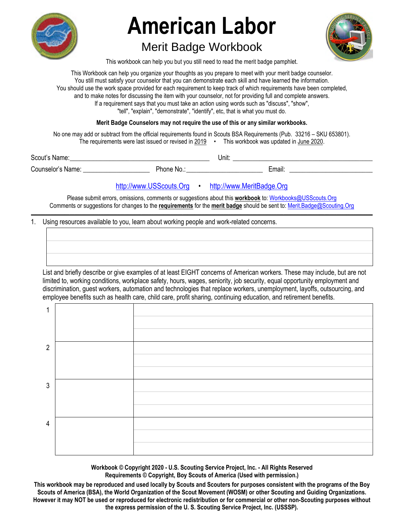

# Merit Badge Workbook



This workbook can help you but you still need to read the merit badge pamphlet.

This Workbook can help you organize your thoughts as you prepare to meet with your merit badge counselor. You still must satisfy your counselor that you can demonstrate each skill and have learned the information. You should use the work space provided for each requirement to keep track of which requirements have been completed, and to make notes for discussing the item with your counselor, not for providing full and complete answers. If a requirement says that you must take an action using words such as "discuss", "show", "tell", "explain", "demonstrate", "identify", etc, that is what you must do.

**Merit Badge Counselors may not require the use of this or any similar workbooks.**

No one may add or subtract from the official requirements found in Scouts BSA Requirements (Pub. 33216 – SKU 653801). The requirements were last issued or revised in  $2019$  • This workbook was updated in June 2020.

Scout's Name: \_\_\_\_\_\_\_\_\_\_\_\_\_\_\_\_\_\_\_\_\_\_\_\_\_\_\_\_\_\_\_\_\_\_\_\_\_\_\_\_\_\_ Unit: \_\_\_\_\_\_\_\_\_\_\_\_\_\_\_\_\_\_\_\_\_\_\_\_\_\_\_\_\_\_\_\_\_\_\_\_\_\_\_\_\_\_ Counselor's Name: \_\_\_\_\_\_\_\_\_\_\_\_\_\_\_\_\_\_\_\_ Phone No.: \_\_\_\_\_\_\_\_\_\_\_\_\_\_\_\_\_\_\_\_\_\_\_ Email: \_\_\_\_\_\_\_\_\_\_\_\_\_\_\_\_\_\_\_\_\_\_\_\_\_

http://www.USScouts.Org • http://www.MeritBadge.Org

Please submit errors, omissions, comments or suggestions about this **workbook** to: Workbooks@USScouts.Org Comments or suggestions for changes to the **requirements** for the **merit badge** should be sent to: Merit.Badge@Scouting.Org *\_\_\_\_\_\_\_\_\_\_\_\_\_\_\_\_\_\_\_\_\_\_\_\_\_\_\_\_\_\_\_\_\_\_\_\_\_\_\_\_\_\_\_\_\_\_\_\_\_\_\_\_\_\_\_\_\_\_\_\_\_\_\_\_\_\_\_\_\_\_\_\_\_\_\_\_\_\_\_\_\_\_\_\_\_\_\_\_\_\_\_\_\_\_\_\_\_\_\_\_\_\_\_\_\_\_\_\_\_\_\_\_\_\_\_\_\_\_\_\_\_\_\_\_\_\_\_\_\_\_\_\_\_\_\_\_\_\_\_\_\_\_* 

## 1. Using resources available to you, learn about working people and work-related concerns.

List and briefly describe or give examples of at least EIGHT concerns of American workers. These may include, but are not limited to, working conditions, workplace safety, hours, wages, seniority, job security, equal opportunity employment and discrimination, guest workers, automation and technologies that replace workers, unemployment, layoffs, outsourcing, and employee benefits such as health care, child care, profit sharing, continuing education, and retirement benefits.

| 1              |  |
|----------------|--|
|                |  |
|                |  |
| $\overline{2}$ |  |
|                |  |
|                |  |
| $\mathfrak{Z}$ |  |
|                |  |
|                |  |
| $\overline{4}$ |  |
|                |  |
|                |  |

**Workbook © Copyright 2020 - U.S. Scouting Service Project, Inc. - All Rights Reserved Requirements © Copyright, Boy Scouts of America (Used with permission.)** 

**This workbook may be reproduced and used locally by Scouts and Scouters for purposes consistent with the programs of the Boy Scouts of America (BSA), the World Organization of the Scout Movement (WOSM) or other Scouting and Guiding Organizations. However it may NOT be used or reproduced for electronic redistribution or for commercial or other non-Scouting purposes without the express permission of the U. S. Scouting Service Project, Inc. (USSSP).**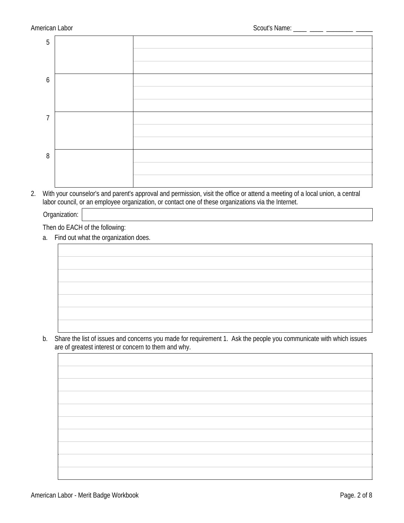| 5 |  |
|---|--|
|   |  |
|   |  |
| 6 |  |
|   |  |
|   |  |
| 7 |  |
|   |  |
|   |  |
| 8 |  |
|   |  |
|   |  |

2. With your counselor's and parent's approval and permission, visit the office or attend a meeting of a local union, a central labor council, or an employee organization, or contact one of these organizations via the Internet.

Organization:

Then do EACH of the following:

a. Find out what the organization does.



b. Share the list of issues and concerns you made for requirement 1. Ask the people you communicate with which issues are of greatest interest or concern to them and why.

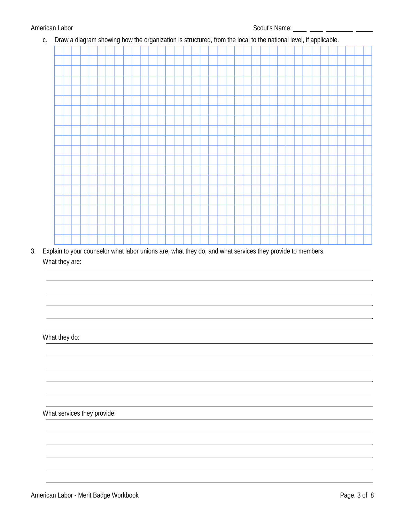c. Draw a diagram showing how the organization is structured, from the local to the national level, if applicable.

3. Explain to your counselor what labor unions are, what they do, and what services they provide to members. What they are:

What they do:

What services they provide: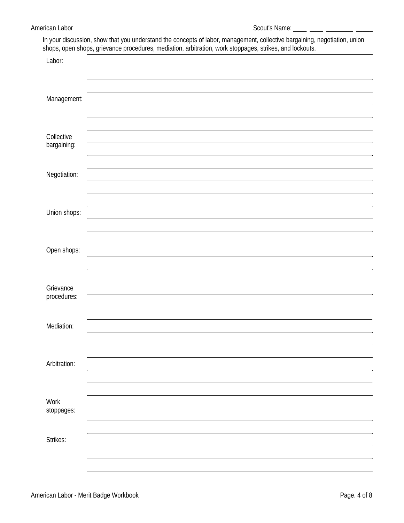In your discussion, show that you understand the concepts of labor, management, collective bargaining, negotiation, union shops, open shops, grievance procedures, mediation, arbitration, work stoppages, strikes, and lockou

|              | $\tilde{\phantom{a}}$ | . .<br>$\tilde{\phantom{a}}$ |  |
|--------------|-----------------------|------------------------------|--|
| Labor:       |                       |                              |  |
|              |                       |                              |  |
|              |                       |                              |  |
|              |                       |                              |  |
|              |                       |                              |  |
| Management:  |                       |                              |  |
|              |                       |                              |  |
|              |                       |                              |  |
|              |                       |                              |  |
|              |                       |                              |  |
| Collective   |                       |                              |  |
| bargaining:  |                       |                              |  |
|              |                       |                              |  |
|              |                       |                              |  |
| Negotiation: |                       |                              |  |
|              |                       |                              |  |
|              |                       |                              |  |
|              |                       |                              |  |
|              |                       |                              |  |
| Union shops: |                       |                              |  |
|              |                       |                              |  |
|              |                       |                              |  |
|              |                       |                              |  |
|              |                       |                              |  |
| Open shops:  |                       |                              |  |
|              |                       |                              |  |
|              |                       |                              |  |
|              |                       |                              |  |
|              |                       |                              |  |
| Grievance    |                       |                              |  |
| procedures:  |                       |                              |  |
|              |                       |                              |  |
|              |                       |                              |  |
|              |                       |                              |  |
| Mediation:   |                       |                              |  |
|              |                       |                              |  |
|              |                       |                              |  |
|              |                       |                              |  |
| Arbitration: |                       |                              |  |
|              |                       |                              |  |
|              |                       |                              |  |
|              |                       |                              |  |
|              |                       |                              |  |
| <b>Work</b>  |                       |                              |  |
| stoppages:   |                       |                              |  |
|              |                       |                              |  |
|              |                       |                              |  |
|              |                       |                              |  |
| Strikes:     |                       |                              |  |
|              |                       |                              |  |
|              |                       |                              |  |
|              |                       |                              |  |
|              |                       |                              |  |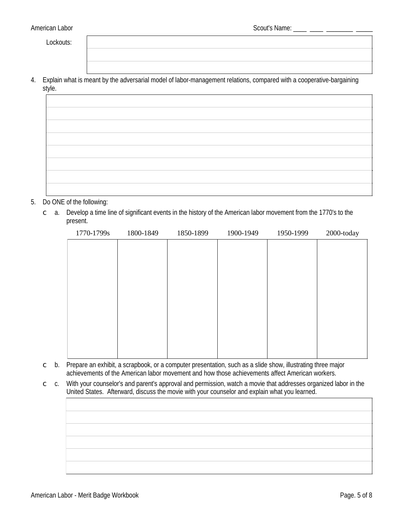Lockouts:

4. Explain what is meant by the adversarial model of labor-management relations, compared with a cooperative-bargaining style.

#### 5. Do ONE of the following:

 $\degree$  a. Develop a time line of significant events in the history of the American labor movement from the 1770's to the present.

| 1770-1799s | 1800-1849 | 1850-1899 | 1900-1949 | 1950-1999 | 2000-today |
|------------|-----------|-----------|-----------|-----------|------------|
|            |           |           |           |           |            |
|            |           |           |           |           |            |
|            |           |           |           |           |            |
|            |           |           |           |           |            |
|            |           |           |           |           |            |
|            |           |           |           |           |            |
|            |           |           |           |           |            |
|            |           |           |           |           |            |
|            |           |           |           |           |            |
|            |           |           |           |           |            |

- $\circ$  b. Prepare an exhibit, a scrapbook, or a computer presentation, such as a slide show, illustrating three major achievements of the American labor movement and how those achievements affect American workers.
- With your counselor's and parent's approval and permission, watch a movie that addresses organized labor in the  $\subset$   $\mathsf{c}.$ United States. Afterward, discuss the movie with your counselor and explain what you learned.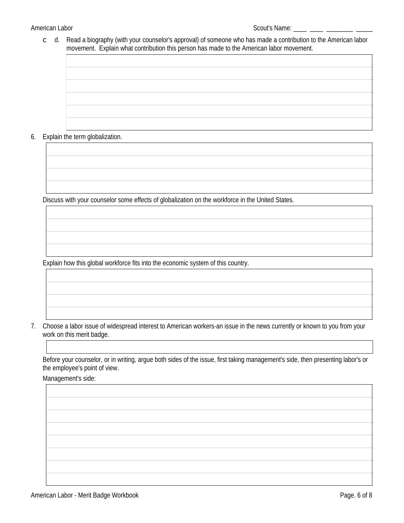$\degree$  d. Read a biography (with your counselor's approval) of someone who has made a contribution to the American labor movement. Explain what contribution this person has made to the American labor movement.

6. Explain the term globalization.

Discuss with your counselor some effects of globalization on the workforce in the United States.

Explain how this global workforce fits into the economic system of this country.

7. Choose a labor issue of widespread interest to American workers-an issue in the news currently or known to you from your work on this merit badge.

Before your counselor, or in writing, argue both sides of the issue, first taking management's side, then presenting labor's or the employee's point of view.

Management's side: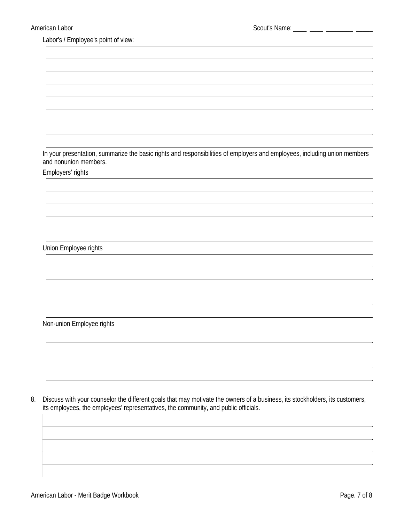Labor's / Employee's point of view:

In your presentation, summarize the basic rights and responsibilities of employers and employees, including union members and nonunion members.

Employers' rights

**Union Employee rights** 

#### Non-union Employee rights



8. Discuss with your counselor the different goals that may motivate the owners of a business, its stockholders, its customers, its employees, the employees' representatives, the community, and public officials.